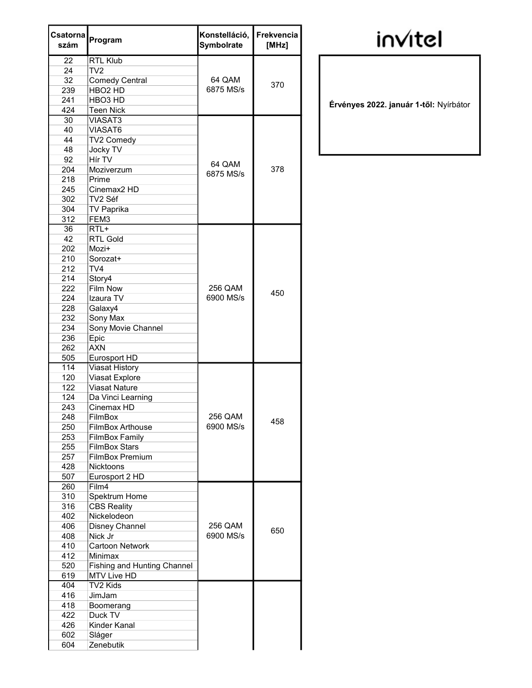| Csatorna<br>szám | Program                            | Konstelláció,<br>Symbolrate | Frekvencia<br>[MHz] |
|------------------|------------------------------------|-----------------------------|---------------------|
| 22               | <b>RTL Klub</b>                    |                             |                     |
| 24               | TV2                                |                             |                     |
| 32               | <b>Comedy Central</b>              | 64 QAM                      | 370                 |
| 239              | HBO <sub>2</sub> HD                | 6875 MS/s                   |                     |
| 241              | HBO <sub>3</sub> HD                |                             |                     |
| 424              | <b>Teen Nick</b>                   |                             |                     |
| 30               | VIASAT3                            |                             |                     |
| 40               | VIASAT6                            |                             |                     |
| 44               | TV2 Comedy                         |                             |                     |
| 48               | <b>Jocky TV</b>                    |                             |                     |
| 92               | Hír TV                             | 64 QAM                      |                     |
| 204              | Moziverzum                         | 6875 MS/s                   | 378                 |
| 218              | Prime                              |                             |                     |
| 245              | Cinemax2 HD                        |                             |                     |
| 302              | TV2 Séf                            |                             |                     |
| 304              | <b>TV Paprika</b>                  |                             |                     |
| 312              | FEM3                               |                             |                     |
| 36               | $RTL+$                             |                             |                     |
| 42               | <b>RTL Gold</b>                    |                             |                     |
| 202              | Mozi+                              |                             |                     |
| 210              | Sorozat+                           |                             |                     |
| 212              | TV4                                |                             |                     |
| 214              | Story4                             |                             |                     |
| 222              | Film Now                           | 256 QAM                     | 450                 |
| 224              | Izaura TV                          | 6900 MS/s                   |                     |
| 228              | Galaxy4                            |                             |                     |
| 232              | Sony Max                           |                             |                     |
| 234              | Sony Movie Channel                 |                             |                     |
| 236              | Epic                               |                             |                     |
| 262              | <b>AXN</b>                         |                             |                     |
| 505              | Eurosport HD                       |                             |                     |
| 114              | <b>Viasat History</b>              |                             |                     |
| 120              | Viasat Explore                     |                             |                     |
| 122              | <b>Viasat Nature</b>               |                             |                     |
| 124              | Da Vinci Learning                  |                             |                     |
| 243              | Cinemax HD                         |                             |                     |
| 248              | FilmBox                            | 256 QAM                     |                     |
| 250              | <b>FilmBox Arthouse</b>            | 6900 MS/s                   | 458                 |
| 253              | <b>FilmBox Family</b>              |                             |                     |
| 255              | <b>FilmBox Stars</b>               |                             |                     |
| 257              | <b>FilmBox Premium</b>             |                             |                     |
| 428              | <b>Nicktoons</b>                   |                             |                     |
| 507              | Eurosport 2 HD                     |                             |                     |
| 260              | Film4                              |                             |                     |
| 310              | Spektrum Home                      |                             |                     |
| 316              | <b>CBS Reality</b>                 |                             |                     |
| 402              | Nickelodeon                        |                             |                     |
| 406              | Disney Channel                     | 256 QAM                     |                     |
| 408              | Nick Jr                            | 6900 MS/s                   | 650                 |
| 410              | Cartoon Network                    |                             |                     |
| 412              | Minimax                            |                             |                     |
| 520              | <b>Fishing and Hunting Channel</b> |                             |                     |
| 619              | MTV Live HD                        |                             |                     |
| 404              | TV2 Kids                           |                             |                     |
| 416              | JimJam                             |                             |                     |
| 418              | Boomerang                          |                             |                     |
| 422              | Duck TV                            |                             |                     |
| 426              | Kinder Kanal                       |                             |                     |
| 602              | Sláger                             |                             |                     |
| 604              | Zenebutik                          |                             |                     |

## **invitel**

Érvényes 2022. január 1-től: Nyírbátor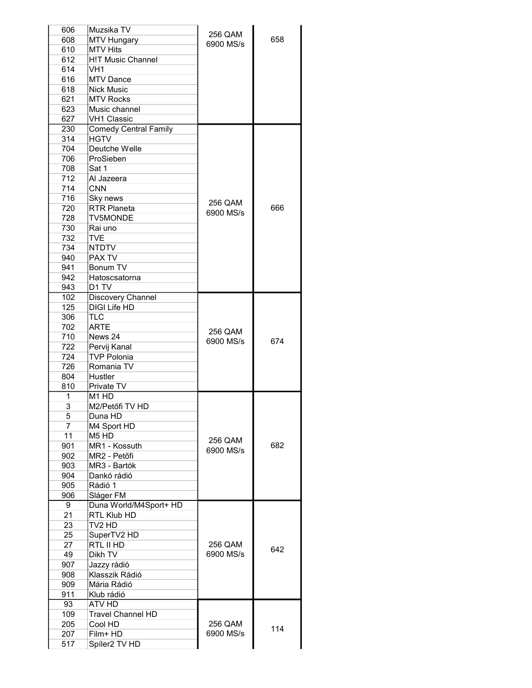| 606            | Muzsika TV                    | 256 QAM   |     |
|----------------|-------------------------------|-----------|-----|
| 608            | <b>MTV Hungary</b>            | 6900 MS/s | 658 |
| 610            | <b>MTV Hits</b>               |           |     |
| 612            | <b>H!T Music Channel</b>      |           |     |
| 614            | VH <sub>1</sub>               |           |     |
|                |                               |           |     |
| 616            | <b>MTV Dance</b>              |           |     |
| 618            | <b>Nick Music</b>             |           |     |
| 621            | <b>MTV Rocks</b>              |           |     |
| 623            | Music channel                 |           |     |
| 627            | <b>VH1 Classic</b>            |           |     |
| 230            | <b>Comedy Central Family</b>  |           |     |
|                |                               |           |     |
| 314            | <b>HGTV</b>                   |           |     |
| 704            | Deutche Welle                 |           |     |
| 706            | ProSieben                     |           |     |
| 708            | Sat 1                         |           |     |
| 712            | Al Jazeera                    |           |     |
| 714            | <b>CNN</b>                    |           |     |
|                |                               |           |     |
| 716            | Sky news                      | 256 QAM   |     |
| 720            | <b>RTR Planeta</b>            | 6900 MS/s | 666 |
| 728            | <b>TV5MONDE</b>               |           |     |
| 730            | Rai uno                       |           |     |
| 732            | <b>TVE</b>                    |           |     |
|                |                               |           |     |
| 734            | <b>NTDTV</b>                  |           |     |
| 940            | PAX TV                        |           |     |
| 941            | Bonum TV                      |           |     |
| 942            | Hatoscsatorna                 |           |     |
| 943            | D <sub>1</sub> TV             |           |     |
| 102            |                               |           |     |
|                | Discovery Channel             |           |     |
| 125            | <b>DIGI Life HD</b>           |           |     |
| 306            | <b>TLC</b>                    |           |     |
| 702            | <b>ARTE</b>                   |           |     |
| 710            | News 24                       | 256 QAM   |     |
| 722            | Pervij Kanal                  | 6900 MS/s | 674 |
|                |                               |           |     |
| 724            | <b>TVP Polonia</b>            |           |     |
| 726            | Romania TV                    |           |     |
| 804            | Hustler                       |           |     |
| 810            | Private TV                    |           |     |
| 1              | M <sub>1</sub> H <sub>D</sub> |           |     |
| $\overline{3}$ | M2/Petőfi TV HD               |           |     |
|                |                               |           |     |
| 5              | Duna HD                       |           |     |
| $\overline{7}$ | M4 Sport HD                   |           |     |
| 11             | M <sub>5</sub> H <sub>D</sub> | 256 QAM   |     |
| 901            | MR1 - Kossuth                 |           | 682 |
| 902            | MR2 - Petőfi                  | 6900 MS/s |     |
| 903            | MR3 - Bartók                  |           |     |
| 904            | Dankó rádió                   |           |     |
|                |                               |           |     |
| 905            | Rádió 1                       |           |     |
| 906            | Sláger FM                     |           |     |
| 9              | Duna World/M4Sport+ HD        |           |     |
| 21             | RTL Klub HD                   |           |     |
| 23             | TV2 HD                        |           |     |
| 25             |                               |           |     |
|                | SuperTV2 HD                   |           |     |
| 27             | RTL II HD                     | 256 QAM   | 642 |
| 49             | Dikh TV                       | 6900 MS/s |     |
| 907            | Jazzy rádió                   |           |     |
| 908            | Klasszik Rádió                |           |     |
| 909            | Mária Rádió                   |           |     |
|                |                               |           |     |
| 911            | Klub rádió                    |           |     |
| 93             | ATV HD                        |           |     |
|                | <b>Travel Channel HD</b>      |           |     |
| 109            |                               |           |     |
|                |                               |           |     |
| 205            | Cool HD                       | 256 QAM   | 114 |
| 207<br>517     | Film+ HD<br>Spíler2 TV HD     | 6900 MS/s |     |